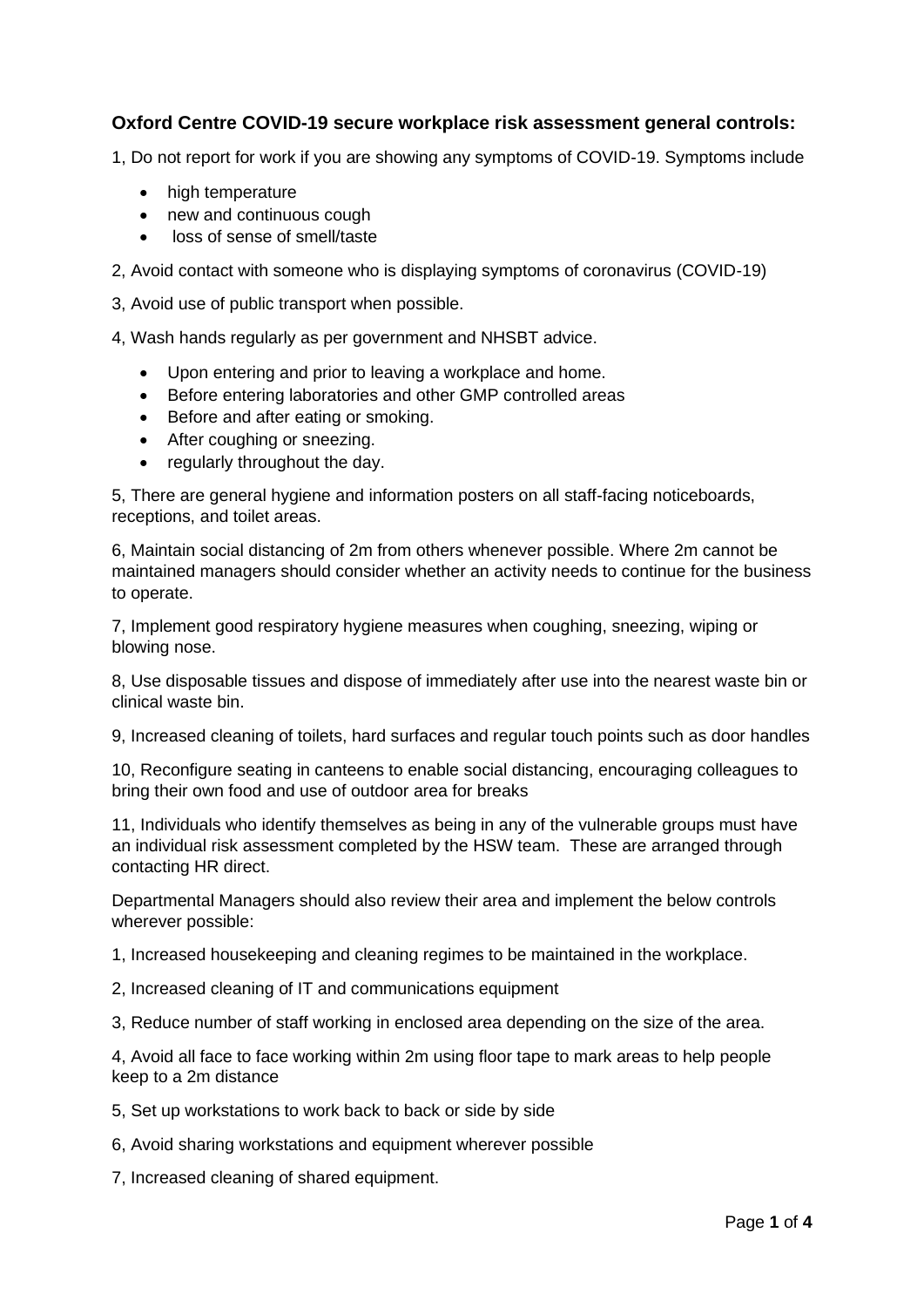# **Oxford Centre COVID-19 secure workplace risk assessment general controls:**

1, Do not report for work if you are showing any symptoms of COVID-19. Symptoms include

- high temperature
- new and continuous cough
- loss of sense of smell/taste

2, Avoid contact with someone who is displaying symptoms of coronavirus (COVID-19)

3, Avoid use of public transport when possible.

4, Wash hands regularly as per government and NHSBT advice.

- Upon entering and prior to leaving a workplace and home.
- Before entering laboratories and other GMP controlled areas
- Before and after eating or smoking.
- After coughing or sneezing.
- regularly throughout the day.

5, There are general hygiene and information posters on all staff-facing noticeboards, receptions, and toilet areas.

6, Maintain social distancing of 2m from others whenever possible. Where 2m cannot be maintained managers should consider whether an activity needs to continue for the business to operate.

7, Implement good respiratory hygiene measures when coughing, sneezing, wiping or blowing nose.

8, Use disposable tissues and dispose of immediately after use into the nearest waste bin or clinical waste bin.

9, Increased cleaning of toilets, hard surfaces and regular touch points such as door handles

10, Reconfigure seating in canteens to enable social distancing, encouraging colleagues to bring their own food and use of outdoor area for breaks

11, Individuals who identify themselves as being in any of the vulnerable groups must have an individual risk assessment completed by the HSW team. These are arranged through contacting HR direct.

Departmental Managers should also review their area and implement the below controls wherever possible:

1, Increased housekeeping and cleaning regimes to be maintained in the workplace.

2, Increased cleaning of IT and communications equipment

3, Reduce number of staff working in enclosed area depending on the size of the area.

4, Avoid all face to face working within 2m using floor tape to mark areas to help people keep to a 2m distance

5, Set up workstations to work back to back or side by side

6, Avoid sharing workstations and equipment wherever possible

7, Increased cleaning of shared equipment.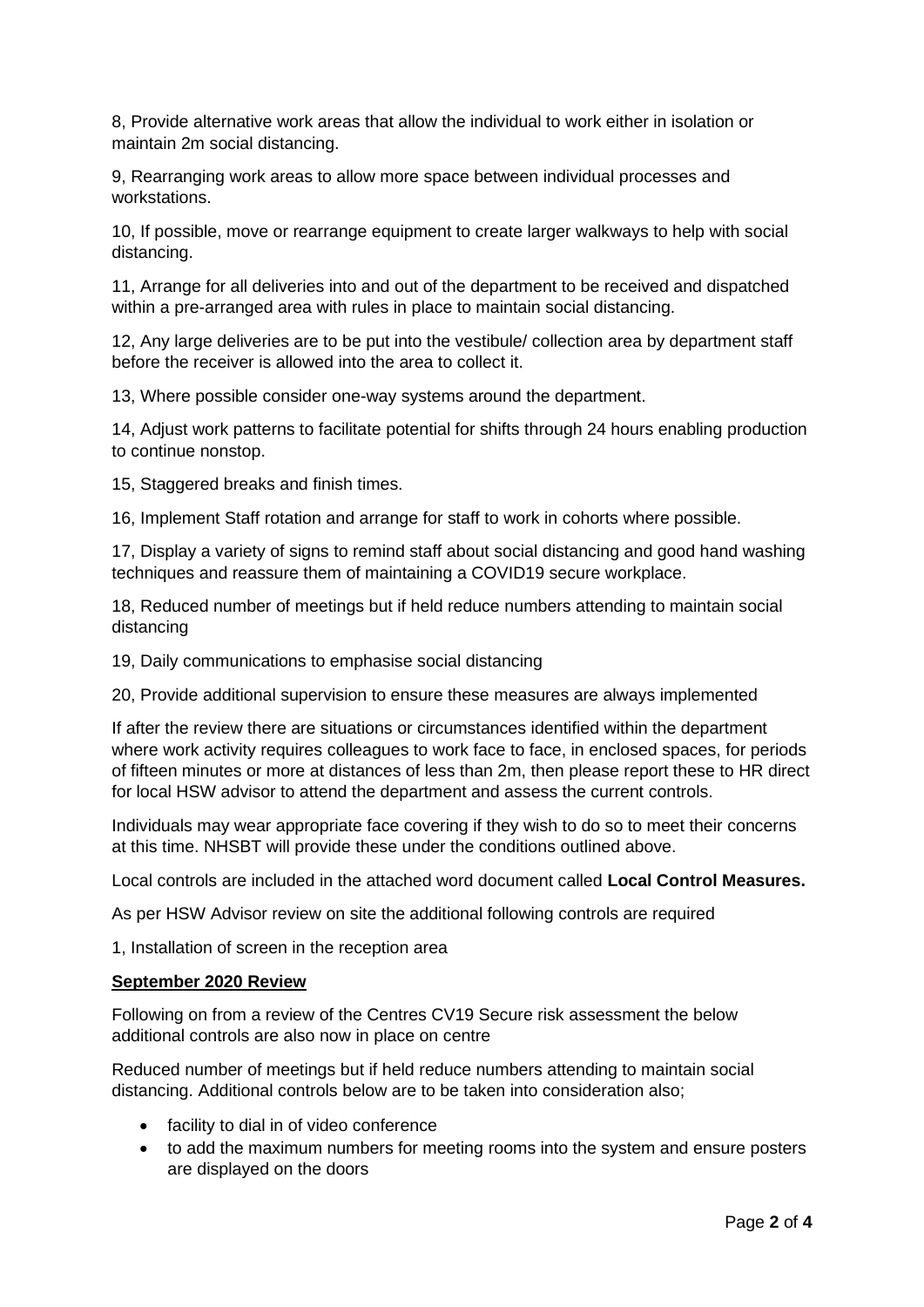8, Provide alternative work areas that allow the individual to work either in isolation or maintain 2m social distancing.

9, Rearranging work areas to allow more space between individual processes and workstations.

10, If possible, move or rearrange equipment to create larger walkways to help with social distancing.

11, Arrange for all deliveries into and out of the department to be received and dispatched within a pre-arranged area with rules in place to maintain social distancing.

12, Any large deliveries are to be put into the vestibule/ collection area by department staff before the receiver is allowed into the area to collect it.

13, Where possible consider one-way systems around the department.

14, Adjust work patterns to facilitate potential for shifts through 24 hours enabling production to continue nonstop.

15, Staggered breaks and finish times.

16, Implement Staff rotation and arrange for staff to work in cohorts where possible.

17, Display a variety of signs to remind staff about social distancing and good hand washing techniques and reassure them of maintaining a COVID19 secure workplace.

18, Reduced number of meetings but if held reduce numbers attending to maintain social distancing

19, Daily communications to emphasise social distancing

20, Provide additional supervision to ensure these measures are always implemented

If after the review there are situations or circumstances identified within the department where work activity requires colleagues to work face to face, in enclosed spaces, for periods of fifteen minutes or more at distances of less than 2m, then please report these to HR direct for local HSW advisor to attend the department and assess the current controls.

Individuals may wear appropriate face covering if they wish to do so to meet their concerns at this time. NHSBT will provide these under the conditions outlined above.

Local controls are included in the attached word document called **Local Control Measures.**

As per HSW Advisor review on site the additional following controls are required

1, Installation of screen in the reception area

#### **September 2020 Review**

Following on from a review of the Centres CV19 Secure risk assessment the below additional controls are also now in place on centre

Reduced number of meetings but if held reduce numbers attending to maintain social distancing. Additional controls below are to be taken into consideration also;

- facility to dial in of video conference
- to add the maximum numbers for meeting rooms into the system and ensure posters are displayed on the doors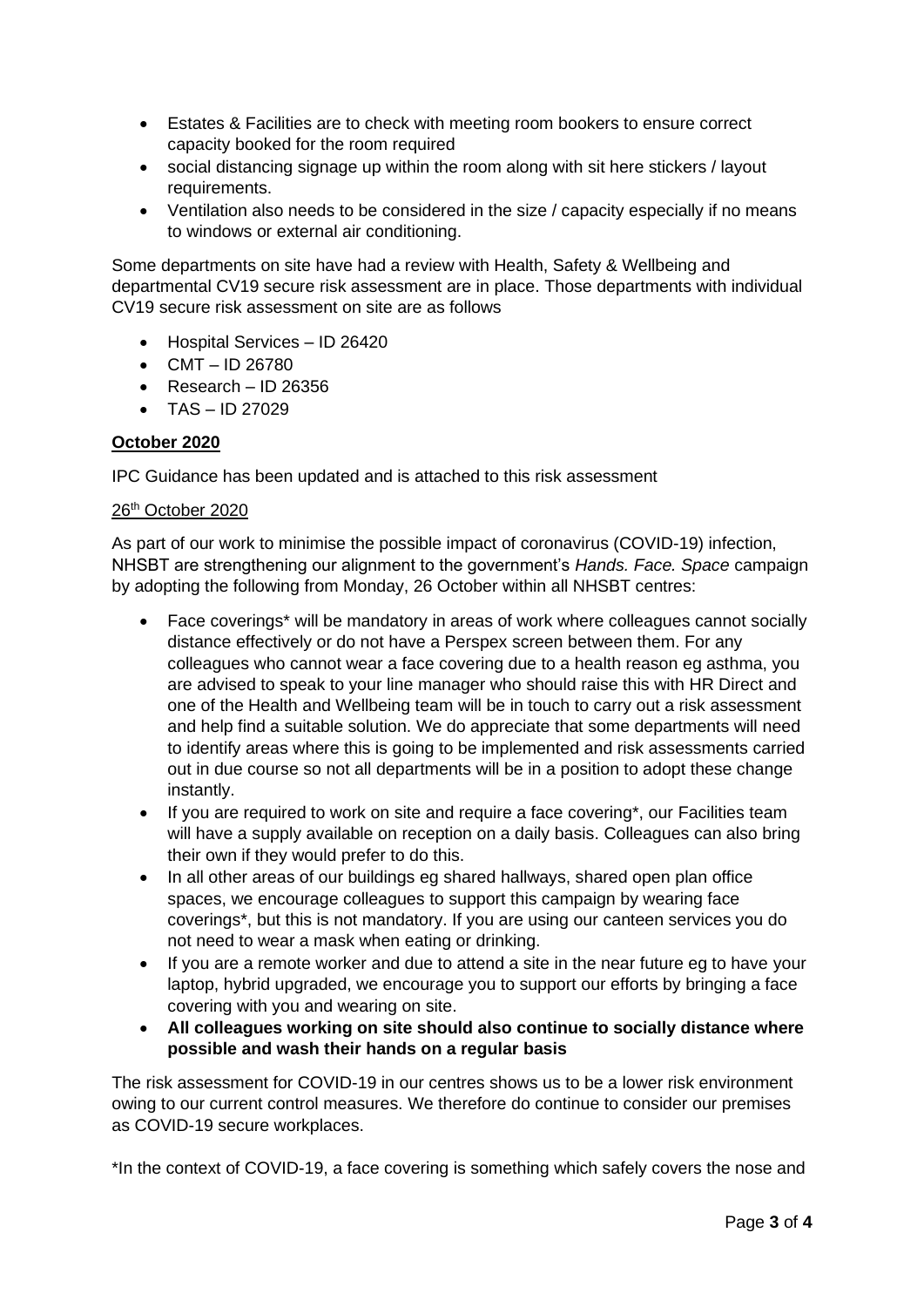- Estates & Facilities are to check with meeting room bookers to ensure correct capacity booked for the room required
- social distancing signage up within the room along with sit here stickers / layout requirements.
- Ventilation also needs to be considered in the size / capacity especially if no means to windows or external air conditioning.

Some departments on site have had a review with Health, Safety & Wellbeing and departmental CV19 secure risk assessment are in place. Those departments with individual CV19 secure risk assessment on site are as follows

- Hospital Services ID 26420
- $CMT ID 26780$
- Research ID 26356
- $\bullet$  TAS ID 27029

### **October 2020**

IPC Guidance has been updated and is attached to this risk assessment

### 26th October 2020

As part of our work to minimise the possible impact of coronavirus (COVID-19) infection, NHSBT are strengthening our alignment to the government's *Hands. Face. Space* campaign by adopting the following from Monday, 26 October within all NHSBT centres:

- Face coverings\* will be mandatory in areas of work where colleagues cannot socially distance effectively or do not have a Perspex screen between them. For any colleagues who cannot wear a face covering due to a health reason eg asthma, you are advised to speak to your line manager who should raise this with HR Direct and one of the Health and Wellbeing team will be in touch to carry out a risk assessment and help find a suitable solution. We do appreciate that some departments will need to identify areas where this is going to be implemented and risk assessments carried out in due course so not all departments will be in a position to adopt these change instantly.
- If you are required to work on site and require a face covering\*, our Facilities team will have a supply available on reception on a daily basis. Colleagues can also bring their own if they would prefer to do this.
- In all other areas of our buildings eg shared hallways, shared open plan office spaces, we encourage colleagues to support this campaign by wearing face coverings\*, but this is not mandatory. If you are using our canteen services you do not need to wear a mask when eating or drinking.
- If you are a remote worker and due to attend a site in the near future eg to have your laptop, hybrid upgraded, we encourage you to support our efforts by bringing a face covering with you and wearing on site.
- **All colleagues working on site should also continue to socially distance where possible and wash their hands on a regular basis**

The risk assessment for COVID-19 in our centres shows us to be a lower risk environment owing to our current control measures. We therefore do continue to consider our premises as COVID-19 secure workplaces.

\*In the context of COVID-19, a face covering is something which safely covers the nose and